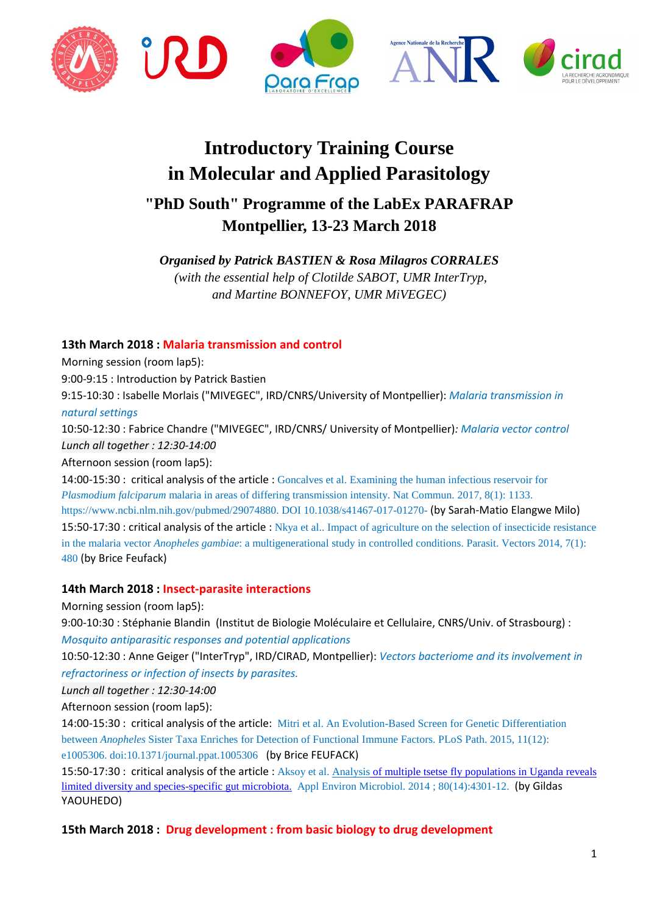



# **Introductory Training Course in Molecular and Applied Parasitology**

# **"PhD South" Programme of the LabEx PARAFRAP Montpellier, 13-23 March 2018**

*Organised by Patrick BASTIEN & Rosa Milagros CORRALES (with the essential help of Clotilde SABOT, UMR InterTryp, and Martine BONNEFOY, UMR MiVEGEC)* 

# **13th March 2018 : Malaria transmission and control**

Morning session (room lap5):

9:00-9:15 : Introduction by Patrick Bastien

9:15-10:30 : Isabelle Morlais ("MIVEGEC", IRD/CNRS/University of Montpellier): *Malaria transmission in natural settings*

10:50-12:30 : Fabrice Chandre ("MIVEGEC", IRD/CNRS/ University of Montpellier)*: Malaria vector control Lunch all together : 12:30-14:00* 

Afternoon session (room lap5):

14:00-15:30 : critical analysis of the article : Goncalves et al. Examining the human infectious reservoir for *Plasmodium falciparum* malaria in areas of differing transmission intensity. Nat Commun. 2017, 8(1): 1133. https://www.ncbi.nlm.nih.gov/pubmed/29074880. DOI 10.1038/s41467-017-01270- (by Sarah-Matio Elangwe Milo) 15:50-17:30 : critical analysis of the article : Nkya et al.. Impact of agriculture on the selection of insecticide resistance in the malaria vector *Anopheles gambiae*: a multigenerational study in controlled conditions. Parasit. Vectors 2014, 7(1): 480 (by Brice Feufack)

# **14th March 2018 : Insect-parasite interactions**

Morning session (room lap5):

9:00-10:30 : Stéphanie Blandin (Institut de Biologie Moléculaire et Cellulaire, CNRS/Univ. of Strasbourg) : *Mosquito antiparasitic responses and potential applications*

10:50-12:30 : Anne Geiger ("InterTryp", IRD/CIRAD, Montpellier): *Vectors bacteriome and its involvement in refractoriness or infection of insects by parasites.*

*Lunch all together : 12:30-14:00* 

Afternoon session (room lap5):

14:00-15:30 : critical analysis of the article: Mitri et al. An Evolution-Based Screen for Genetic Differentiation between *Anopheles* Sister Taxa Enriches for Detection of Functional Immune Factors. PLoS Path. 2015, 11(12): e1005306. doi:10.1371/journal.ppat.1005306 (by Brice FEUFACK)

15:50-17:30 : critical analysis of the article : Aksoy et al. Analysis of multiple tsetse fly populations in Uganda reveals limited diversity and species-specific gut microbiota. Appl Environ Microbiol. 2014 ; 80(14):4301-12. (by Gildas YAOUHEDO)

**15th March 2018 : Drug development : from basic biology to drug development**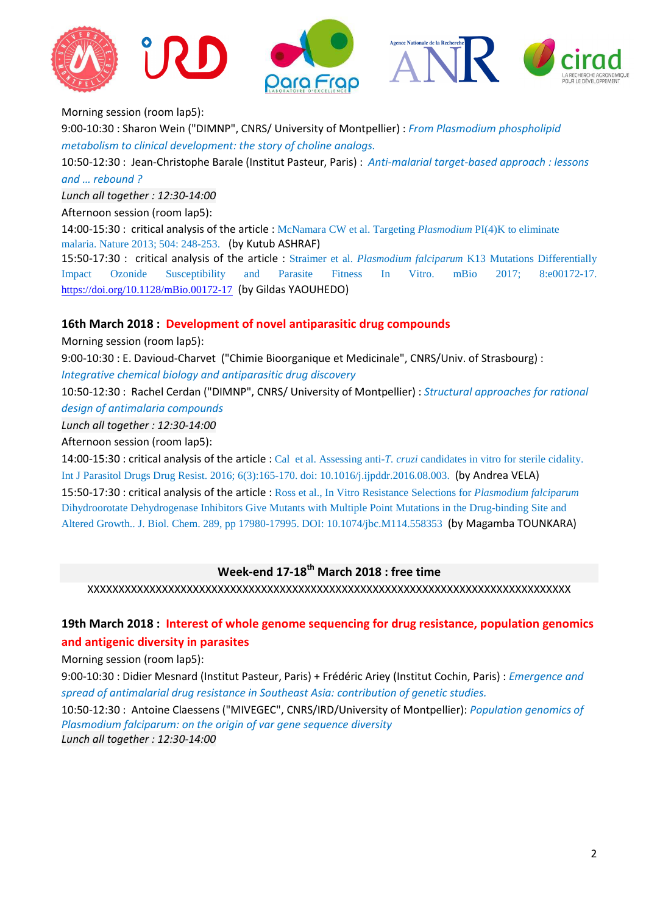





Morning session (room lap5):

9:00-10:30 : Sharon Wein ("DIMNP", CNRS/ University of Montpellier) : *From Plasmodium phospholipid metabolism to clinical development: the story of choline analogs.* 

10:50-12:30 : Jean-Christophe Barale (Institut Pasteur, Paris) : *Anti-malarial target-based approach : lessons and … rebound ?*

*Lunch all together : 12:30-14:00* 

Afternoon session (room lap5):

14:00-15:30 : critical analysis of the article : McNamara CW et al. Targeting *Plasmodium* PI(4)K to eliminate malaria. Nature 2013; 504: 248-253. (by Kutub ASHRAF)

15:50-17:30 : critical analysis of the article : Straimer et al. *Plasmodium falciparum* K13 Mutations Differentially Impact Ozonide Susceptibility and Parasite Fitness In Vitro. mBio 2017; 8:e00172-17. https://doi.org/10.1128/mBio.00172-17 (by Gildas YAOUHEDO)

#### **16th March 2018 : Development of novel antiparasitic drug compounds**

Morning session (room lap5):

9:00-10:30 : E. Davioud-Charvet ("Chimie Bioorganique et Medicinale", CNRS/Univ. of Strasbourg) : *Integrative chemical biology and antiparasitic drug discovery* 

10:50-12:30 : Rachel Cerdan ("DIMNP", CNRS/ University of Montpellier) : *Structural approaches for rational design of antimalaria compounds*

*Lunch all together : 12:30-14:00* 

Afternoon session (room lap5):

14:00-15:30 : critical analysis of the article : Cal et al. Assessing anti-*T. cruzi* candidates in vitro for sterile cidality. Int J Parasitol Drugs Drug Resist. 2016; 6(3):165-170. doi: 10.1016/j.ijpddr.2016.08.003. (by Andrea VELA) 15:50-17:30 : critical analysis of the article : Ross et al., In Vitro Resistance Selections for *Plasmodium falciparum*  Dihydroorotate Dehydrogenase Inhibitors Give Mutants with Multiple Point Mutations in the Drug-binding Site and Altered Growth.. J. Biol. Chem. 289, pp 17980-17995. DOI: 10.1074/jbc.M114.558353 (by Magamba TOUNKARA)

# **Week-end 17-18th March 2018 : free time**

XXXXXXXXXXXXXXXXXXXXXXXXXXXXXXXXXXXXXXXXXXXXXXXXXXXXXXXXXXXXXXXXXXXXXXXXXXXXXX

# **19th March 2018 : Interest of whole genome sequencing for drug resistance, population genomics and antigenic diversity in parasites**

Morning session (room lap5):

9:00-10:30 : Didier Mesnard (Institut Pasteur, Paris) + Frédéric Ariey (Institut Cochin, Paris) : *Emergence and spread of antimalarial drug resistance in Southeast Asia: contribution of genetic studies.*

10:50-12:30 : Antoine Claessens ("MIVEGEC", CNRS/IRD/University of Montpellier): *Population genomics of Plasmodium falciparum: on the origin of var gene sequence diversity Lunch all together : 12:30-14:00*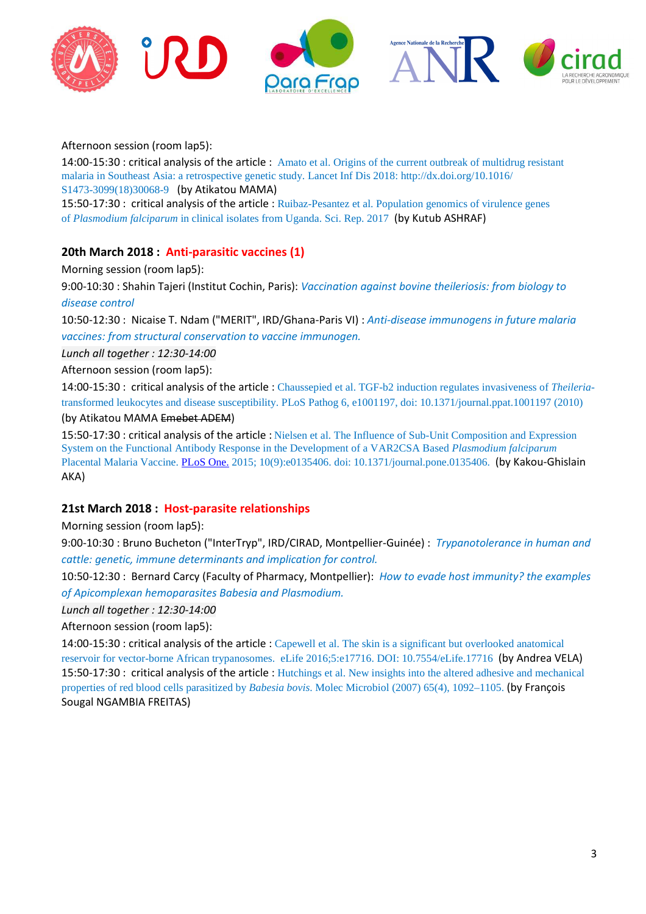

Afternoon session (room lap5):

14:00-15:30 : critical analysis of the article : Amato et al. Origins of the current outbreak of multidrug resistant malaria in Southeast Asia: a retrospective genetic study. Lancet Inf Dis 2018: http://dx.doi.org/10.1016/ S1473-3099(18)30068-9 (by Atikatou MAMA)

15:50-17:30 : critical analysis of the article : Ruibaz-Pesantez et al. Population genomics of virulence genes of *Plasmodium falciparum* in clinical isolates from Uganda. Sci. Rep. 2017 (by Kutub ASHRAF)

#### **20th March 2018 : Anti-parasitic vaccines (1)**

Morning session (room lap5):

9:00-10:30 : Shahin Tajeri (Institut Cochin, Paris): *Vaccination against bovine theileriosis: from biology to disease control* 

10:50-12:30 : Nicaise T. Ndam ("MERIT", IRD/Ghana-Paris VI) : *Anti-disease immunogens in future malaria vaccines: from structural conservation to vaccine immunogen.* 

*Lunch all together : 12:30-14:00* 

Afternoon session (room lap5):

14:00-15:30 : critical analysis of the article : Chaussepied et al. TGF-b2 induction regulates invasiveness of *Theileria*transformed leukocytes and disease susceptibility. PLoS Pathog 6, e1001197, doi: 10.1371/journal.ppat.1001197 (2010) (by Atikatou MAMA Emebet ADEM)

15:50-17:30 : critical analysis of the article : Nielsen et al. The Influence of Sub-Unit Composition and Expression System on the Functional Antibody Response in the Development of a VAR2CSA Based *Plasmodium falciparum* Placental Malaria Vaccine. PLoS One. 2015; 10(9):e0135406. doi: 10.1371/journal.pone.0135406. (by Kakou-Ghislain AKA)

#### **21st March 2018 : Host-parasite relationships**

Morning session (room lap5):

9:00-10:30 : Bruno Bucheton ("InterTryp", IRD/CIRAD, Montpellier-Guinée) : *Trypanotolerance in human and cattle: genetic, immune determinants and implication for control.* 

10:50-12:30 : Bernard Carcy (Faculty of Pharmacy, Montpellier): *How to evade host immunity? the examples of Apicomplexan hemoparasites Babesia and Plasmodium.* 

*Lunch all together : 12:30-14:00* 

Afternoon session (room lap5):

14:00-15:30 : critical analysis of the article : Capewell et al. The skin is a significant but overlooked anatomical reservoir for vector-borne African trypanosomes. eLife 2016;5:e17716. DOI: 10.7554/eLife.17716 (by Andrea VELA) 15:50-17:30 : critical analysis of the article : Hutchings et al. New insights into the altered adhesive and mechanical properties of red blood cells parasitized by *Babesia bovis*. Molec Microbiol (2007) 65(4), 1092–1105. (by François Sougal NGAMBIA FREITAS)